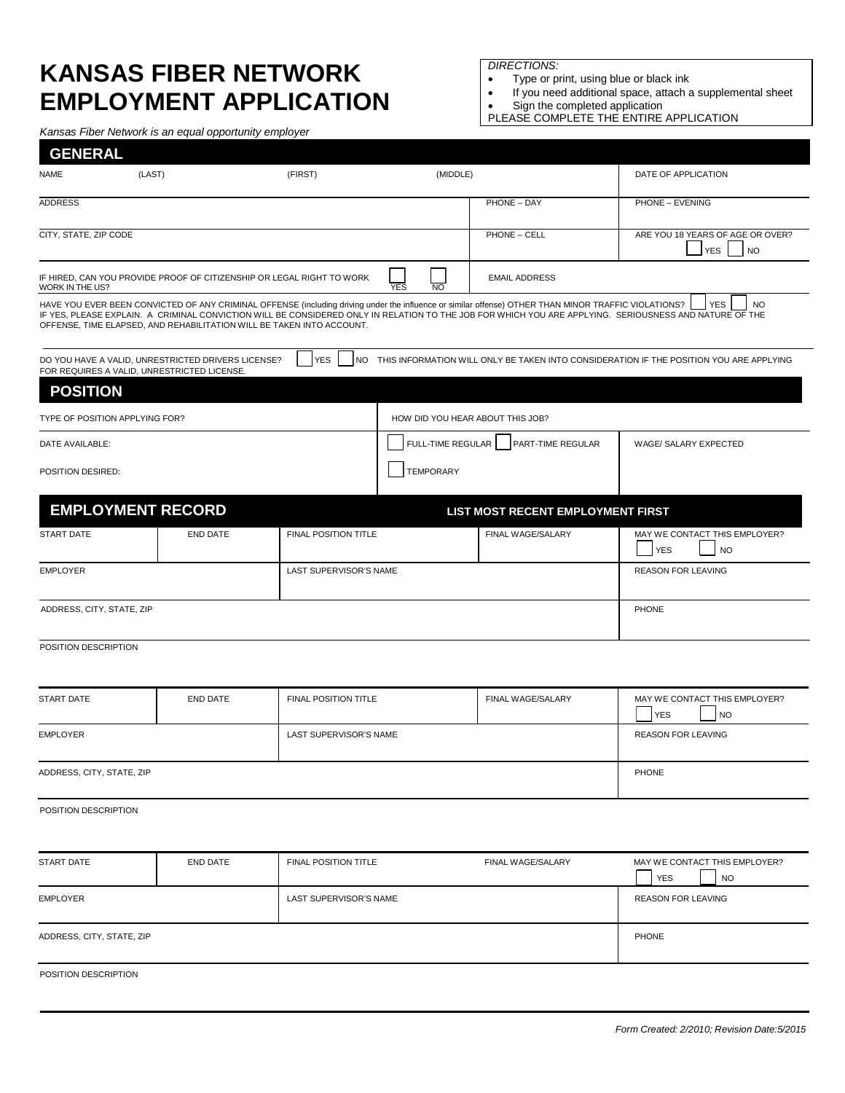## **KANSAS FIBER NETWORK EMPLOYMENT APPLICATION**

*Kansas Fiber Network is an equal opportunity employer*

*DIRECTIONS:*

- Type or print, using blue or black ink
- If you need additional space, attach a supplemental sheet
- Sign the completed application
- PLEASE COMPLETE THE ENTIRE APPLICATION

| <b>GENERAL</b><br><b>NAME</b><br>(LAST)<br>(FIRST) |                                                                                                   |                             | (MIDDLE)                         |                                                                                                                                                      | DATE OF APPLICATION                                                                                                                                                               |  |  |
|----------------------------------------------------|---------------------------------------------------------------------------------------------------|-----------------------------|----------------------------------|------------------------------------------------------------------------------------------------------------------------------------------------------|-----------------------------------------------------------------------------------------------------------------------------------------------------------------------------------|--|--|
|                                                    |                                                                                                   |                             |                                  |                                                                                                                                                      |                                                                                                                                                                                   |  |  |
| <b>ADDRESS</b>                                     |                                                                                                   |                             | PHONE - DAY                      |                                                                                                                                                      | PHONE - EVENING                                                                                                                                                                   |  |  |
| CITY, STATE, ZIP CODE                              |                                                                                                   |                             |                                  | PHONE - CELL                                                                                                                                         | ARE YOU 18 YEARS OF AGE OR OVER?<br><b>YES</b><br><b>NO</b>                                                                                                                       |  |  |
| WORK IN THE US?                                    | IF HIRED, CAN YOU PROVIDE PROOF OF CITIZENSHIP OR LEGAL RIGHT TO WORK                             | <b>EMAIL ADDRESS</b>        |                                  |                                                                                                                                                      |                                                                                                                                                                                   |  |  |
|                                                    | OFFENSE, TIME ELAPSED, AND REHABILITATION WILL BE TAKEN INTO ACCOUNT.                             |                             |                                  | HAVE YOU EVER BEEN CONVICTED OF ANY CRIMINAL OFFENSE (including driving under the influence or similar offense) OTHER THAN MINOR TRAFFIC VIOLATIONS? | <b>YES</b><br><b>NO</b><br>IF YES, PLEASE EXPLAIN. A CRIMINAL CONVICTION WILL BE CONSIDERED ONLY IN RELATION TO THE JOB FOR WHICH YOU ARE APPLYING. SERIOUSNESS AND NATURE OF THE |  |  |
|                                                    | DO YOU HAVE A VALID, UNRESTRICTED DRIVERS LICENSE?<br>FOR REQUIRES A VALID, UNRESTRICTED LICENSE. | <b>YES</b><br><b>NO</b>     |                                  |                                                                                                                                                      | THIS INFORMATION WILL ONLY BE TAKEN INTO CONSIDERATION IF THE POSITION YOU ARE APPLYING                                                                                           |  |  |
| <b>POSITION</b>                                    |                                                                                                   |                             |                                  |                                                                                                                                                      |                                                                                                                                                                                   |  |  |
|                                                    | TYPE OF POSITION APPLYING FOR?                                                                    |                             | HOW DID YOU HEAR ABOUT THIS JOB? |                                                                                                                                                      |                                                                                                                                                                                   |  |  |
| DATE AVAILABLE:                                    |                                                                                                   |                             | FULL-TIME REGULAR                | PART-TIME REGULAR                                                                                                                                    | WAGE/ SALARY EXPECTED                                                                                                                                                             |  |  |
| POSITION DESIRED:                                  |                                                                                                   |                             | <b>TEMPORARY</b>                 |                                                                                                                                                      |                                                                                                                                                                                   |  |  |
|                                                    | <b>EMPLOYMENT RECORD</b>                                                                          |                             |                                  | LIST MOST RECENT EMPLOYMENT FIRST                                                                                                                    |                                                                                                                                                                                   |  |  |
| <b>START DATE</b>                                  | <b>END DATE</b>                                                                                   | FINAL POSITION TITLE        |                                  | FINAL WAGE/SALARY                                                                                                                                    | MAY WE CONTACT THIS EMPLOYER?<br><b>YES</b><br><b>NO</b>                                                                                                                          |  |  |
| <b>EMPLOYER</b>                                    |                                                                                                   | LAST SUPERVISOR'S NAME      |                                  | <b>REASON FOR LEAVING</b>                                                                                                                            |                                                                                                                                                                                   |  |  |
| ADDRESS, CITY, STATE, ZIP                          |                                                                                                   | PHONE                       |                                  |                                                                                                                                                      |                                                                                                                                                                                   |  |  |
| POSITION DESCRIPTION                               |                                                                                                   |                             |                                  |                                                                                                                                                      |                                                                                                                                                                                   |  |  |
| <b>START DATE</b>                                  | <b>END DATE</b>                                                                                   | <b>FINAL POSITION TITLE</b> |                                  | FINAL WAGE/SALARY                                                                                                                                    | MAY WE CONTACT THIS EMPLOYER?<br><b>YES</b><br><b>NO</b>                                                                                                                          |  |  |
| <b>EMPLOYER</b>                                    |                                                                                                   | LAST SUPERVISOR'S NAME      |                                  |                                                                                                                                                      | <b>REASON FOR LEAVING</b>                                                                                                                                                         |  |  |
| ADDRESS, CITY, STATE, ZIP                          |                                                                                                   |                             |                                  |                                                                                                                                                      | PHONE                                                                                                                                                                             |  |  |
| POSITION DESCRIPTION                               |                                                                                                   |                             |                                  |                                                                                                                                                      |                                                                                                                                                                                   |  |  |
|                                                    |                                                                                                   |                             |                                  |                                                                                                                                                      |                                                                                                                                                                                   |  |  |

| END DATE | <b>FINAL POSITION TITLE</b> | FINAL WAGE/SALARY         | MAY WE CONTACT THIS EMPLOYER?<br><b>YES</b><br><b>NO</b> |  |
|----------|-----------------------------|---------------------------|----------------------------------------------------------|--|
|          | LAST SUPERVISOR'S NAME      | <b>REASON FOR LEAVING</b> |                                                          |  |
|          |                             |                           | PHONE                                                    |  |
|          |                             |                           |                                                          |  |

POSITION DESCRIPTION